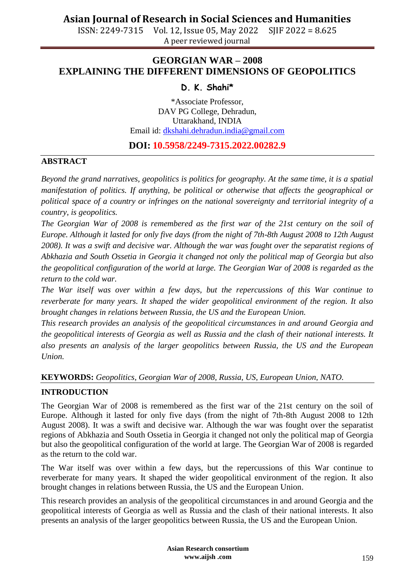ISSN: 2249-7315 Vol. 12, Issue 05, May 2022 SJIF 2022 = 8.625 A peer reviewed journal

### **GEORGIAN WAR – 2008 EXPLAINING THE DIFFERENT DIMENSIONS OF GEOPOLITICS**

### **D. K. Shahi\***

\*Associate Professor, DAV PG College, Dehradun, Uttarakhand, INDIA Email id: [dkshahi.dehradun.india@gmail.com](mailto:dkshahi.dehradun.india@gmail.com)

### **DOI: 10.5958/2249-7315.2022.00282.9**

#### **ABSTRACT**

*Beyond the grand narratives, geopolitics is politics for geography. At the same time, it is a spatial manifestation of politics. If anything, be political or otherwise that affects the geographical or political space of a country or infringes on the national sovereignty and territorial integrity of a country, is geopolitics.* 

*The Georgian War of 2008 is remembered as the first war of the 21st century on the soil of Europe. Although it lasted for only five days (from the night of 7th-8th August 2008 to 12th August 2008). It was a swift and decisive war. Although the war was fought over the separatist regions of Abkhazia and South Ossetia in Georgia it changed not only the political map of Georgia but also the geopolitical configuration of the world at large. The Georgian War of 2008 is regarded as the return to the cold war.* 

*The War itself was over within a few days, but the repercussions of this War continue to reverberate for many years. It shaped the wider geopolitical environment of the region. It also brought changes in relations between Russia, the US and the European Union.* 

*This research provides an analysis of the geopolitical circumstances in and around Georgia and the geopolitical interests of Georgia as well as Russia and the clash of their national interests. It also presents an analysis of the larger geopolitics between Russia, the US and the European Union.*

#### **KEYWORDS:** *Geopolitics, Georgian War of 2008, Russia, US, European Union, NATO.*

### **INTRODUCTION**

The Georgian War of 2008 is remembered as the first war of the 21st century on the soil of Europe. Although it lasted for only five days (from the night of 7th-8th August 2008 to 12th August 2008). It was a swift and decisive war. Although the war was fought over the separatist regions of Abkhazia and South Ossetia in Georgia it changed not only the political map of Georgia but also the geopolitical configuration of the world at large. The Georgian War of 2008 is regarded as the return to the cold war.

The War itself was over within a few days, but the repercussions of this War continue to reverberate for many years. It shaped the wider geopolitical environment of the region. It also brought changes in relations between Russia, the US and the European Union.

This research provides an analysis of the geopolitical circumstances in and around Georgia and the geopolitical interests of Georgia as well as Russia and the clash of their national interests. It also presents an analysis of the larger geopolitics between Russia, the US and the European Union.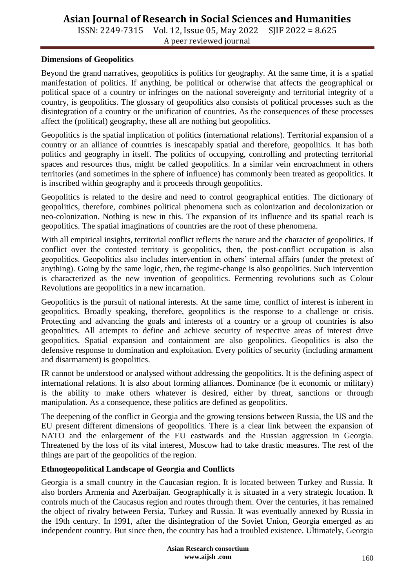ISSN: 2249-7315 Vol. 12, Issue 05, May 2022 SJIF 2022 = 8.625 A peer reviewed journal

#### **Dimensions of Geopolitics**

Beyond the grand narratives, geopolitics is politics for geography. At the same time, it is a spatial manifestation of politics. If anything, be political or otherwise that affects the geographical or political space of a country or infringes on the national sovereignty and territorial integrity of a country, is geopolitics. The glossary of geopolitics also consists of political processes such as the disintegration of a country or the unification of countries. As the consequences of these processes affect the (political) geography, these all are nothing but geopolitics.

Geopolitics is the spatial implication of politics (international relations). Territorial expansion of a country or an alliance of countries is inescapably spatial and therefore, geopolitics. It has both politics and geography in itself. The politics of occupying, controlling and protecting territorial spaces and resources thus, might be called geopolitics. In a similar vein encroachment in others territories (and sometimes in the sphere of influence) has commonly been treated as geopolitics. It is inscribed within geography and it proceeds through geopolitics.

Geopolitics is related to the desire and need to control geographical entities. The dictionary of geopolitics, therefore, combines political phenomena such as colonization and decolonization or neo-colonization. Nothing is new in this. The expansion of its influence and its spatial reach is geopolitics. The spatial imaginations of countries are the root of these phenomena.

With all empirical insights, territorial conflict reflects the nature and the character of geopolitics. If conflict over the contested territory is geopolitics, then, the post-conflict occupation is also geopolitics. Geopolitics also includes intervention in others' internal affairs (under the pretext of anything). Going by the same logic, then, the regime-change is also geopolitics. Such intervention is characterized as the new invention of geopolitics. Fermenting revolutions such as Colour Revolutions are geopolitics in a new incarnation.

Geopolitics is the pursuit of national interests. At the same time, conflict of interest is inherent in geopolitics. Broadly speaking, therefore, geopolitics is the response to a challenge or crisis. Protecting and advancing the goals and interests of a country or a group of countries is also geopolitics. All attempts to define and achieve security of respective areas of interest drive geopolitics. Spatial expansion and containment are also geopolitics. Geopolitics is also the defensive response to domination and exploitation. Every politics of security (including armament and disarmament) is geopolitics.

IR cannot be understood or analysed without addressing the geopolitics. It is the defining aspect of international relations. It is also about forming alliances. Dominance (be it economic or military) is the ability to make others whatever is desired, either by threat, sanctions or through manipulation. As a consequence, these politics are defined as geopolitics.

The deepening of the conflict in Georgia and the growing tensions between Russia, the US and the EU present different dimensions of geopolitics. There is a clear link between the expansion of NATO and the enlargement of the EU eastwards and the Russian aggression in Georgia. Threatened by the loss of its vital interest, Moscow had to take drastic measures. The rest of the things are part of the geopolitics of the region.

#### **Ethnogeopolitical Landscape of Georgia and Conflicts**

Georgia is a small country in the Caucasian region. It is located between Turkey and Russia. It also borders Armenia and Azerbaijan. Geographically it is situated in a very strategic location. It controls much of the Caucasus region and routes through them. Over the centuries, it has remained the object of rivalry between Persia, Turkey and Russia. It was eventually annexed by Russia in the 19th century. In 1991, after the disintegration of the Soviet Union, Georgia emerged as an independent country. But since then, the country has had a troubled existence. Ultimately, Georgia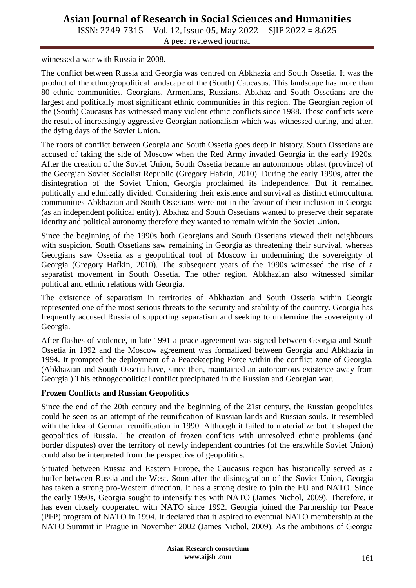ISSN: 2249-7315 Vol. 12, Issue 05, May 2022 SJIF 2022 = 8.625 A peer reviewed journal

witnessed a war with Russia in 2008.

The conflict between Russia and Georgia was centred on Abkhazia and South Ossetia. It was the product of the ethnogeopolitical landscape of the (South) Caucasus. This landscape has more than 80 ethnic communities. Georgians, Armenians, Russians, Abkhaz and South Ossetians are the largest and politically most significant ethnic communities in this region. The Georgian region of the (South) Caucasus has witnessed many violent ethnic conflicts since 1988. These conflicts were the result of increasingly aggressive Georgian nationalism which was witnessed during, and after, the dying days of the Soviet Union.

The roots of conflict between Georgia and South Ossetia goes deep in history. South Ossetians are accused of taking the side of Moscow when the Red Army invaded Georgia in the early 1920s. After the creation of the Soviet Union, South Ossetia became an autonomous oblast (province) of the Georgian Soviet Socialist Republic (Gregory Hafkin, 2010). During the early 1990s, after the disintegration of the Soviet Union, Georgia proclaimed its independence. But it remained politically and ethnically divided. Considering their existence and survival as distinct ethnocultural communities Abkhazian and South Ossetians were not in the favour of their inclusion in Georgia (as an independent political entity). Abkhaz and South Ossetians wanted to preserve their separate identity and political autonomy therefore they wanted to remain within the Soviet Union.

Since the beginning of the 1990s both Georgians and South Ossetians viewed their neighbours with suspicion. South Ossetians saw remaining in Georgia as threatening their survival, whereas Georgians saw Ossetia as a geopolitical tool of Moscow in undermining the sovereignty of Georgia (Gregory Hafkin, 2010). The subsequent years of the 1990s witnessed the rise of a separatist movement in South Ossetia. The other region, Abkhazian also witnessed similar political and ethnic relations with Georgia.

The existence of separatism in territories of Abkhazian and South Ossetia within Georgia represented one of the most serious threats to the security and stability of the country. Georgia has frequently accused Russia of supporting separatism and seeking to undermine the sovereignty of Georgia.

After flashes of violence, in late 1991 a peace agreement was signed between Georgia and South Ossetia in 1992 and the Moscow agreement was formalized between Georgia and Abkhazia in 1994. It prompted the deployment of a Peacekeeping Force within the conflict zone of Georgia. (Abkhazian and South Ossetia have, since then, maintained an autonomous existence away from Georgia.) This ethnogeopolitical conflict precipitated in the Russian and Georgian war.

#### **Frozen Conflicts and Russian Geopolitics**

Since the end of the 20th century and the beginning of the 21st century, the Russian geopolitics could be seen as an attempt of the reunification of Russian lands and Russian souls. It resembled with the idea of German reunification in 1990. Although it failed to materialize but it shaped the geopolitics of Russia. The creation of frozen conflicts with unresolved ethnic problems (and border disputes) over the territory of newly independent countries (of the erstwhile Soviet Union) could also be interpreted from the perspective of geopolitics.

Situated between Russia and Eastern Europe, the Caucasus region has historically served as a buffer between Russia and the West. Soon after the disintegration of the Soviet Union, Georgia has taken a strong pro-Western direction. It has a strong desire to join the EU and NATO. Since the early 1990s, Georgia sought to intensify ties with NATO (James Nichol, 2009). Therefore, it has even closely cooperated with NATO since 1992. Georgia joined the Partnership for Peace (PFP) program of NATO in 1994. It declared that it aspired to eventual NATO membership at the NATO Summit in Prague in November 2002 (James Nichol, 2009). As the ambitions of Georgia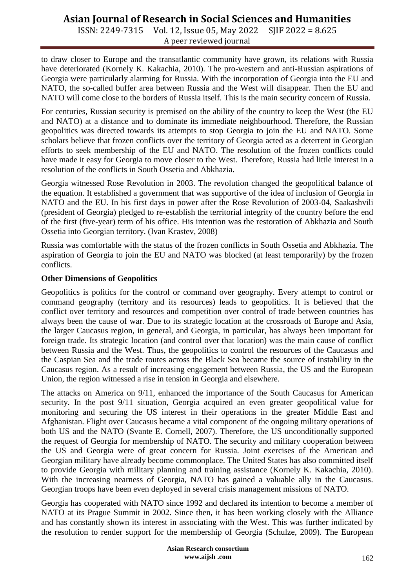ISSN: 2249-7315 Vol. 12, Issue 05, May 2022 SJIF 2022 = 8.625 A peer reviewed journal

to draw closer to Europe and the transatlantic community have grown, its relations with Russia have deteriorated (Kornely K. Kakachia, 2010). The pro-western and anti-Russian aspirations of Georgia were particularly alarming for Russia. With the incorporation of Georgia into the EU and NATO, the so-called buffer area between Russia and the West will disappear. Then the EU and NATO will come close to the borders of Russia itself. This is the main security concern of Russia.

For centuries, Russian security is premised on the ability of the country to keep the West (the EU and NATO) at a distance and to dominate its immediate neighbourhood. Therefore, the Russian geopolitics was directed towards its attempts to stop Georgia to join the EU and NATO. Some scholars believe that frozen conflicts over the territory of Georgia acted as a deterrent in Georgian efforts to seek membership of the EU and NATO. The resolution of the frozen conflicts could have made it easy for Georgia to move closer to the West. Therefore, Russia had little interest in a resolution of the conflicts in South Ossetia and Abkhazia.

Georgia witnessed Rose Revolution in 2003. The revolution changed the geopolitical balance of the equation. It established a government that was supportive of the idea of inclusion of Georgia in NATO and the EU. In his first days in power after the Rose Revolution of 2003-04, Saakashvili (president of Georgia) pledged to re-establish the territorial integrity of the country before the end of the first (five-year) term of his office. His intention was the restoration of Abkhazia and South Ossetia into Georgian territory. (Ivan Krastev, 2008)

Russia was comfortable with the status of the frozen conflicts in South Ossetia and Abkhazia. The aspiration of Georgia to join the EU and NATO was blocked (at least temporarily) by the frozen conflicts.

#### **Other Dimensions of Geopolitics**

Geopolitics is politics for the control or command over geography. Every attempt to control or command geography (territory and its resources) leads to geopolitics. It is believed that the conflict over territory and resources and competition over control of trade between countries has always been the cause of war. Due to its strategic location at the crossroads of Europe and Asia, the larger Caucasus region, in general, and Georgia, in particular, has always been important for foreign trade. Its strategic location (and control over that location) was the main cause of conflict between Russia and the West. Thus, the geopolitics to control the resources of the Caucasus and the Caspian Sea and the trade routes across the Black Sea became the source of instability in the Caucasus region. As a result of increasing engagement between Russia, the US and the European Union, the region witnessed a rise in tension in Georgia and elsewhere.

The attacks on America on 9/11, enhanced the importance of the South Caucasus for American security. In the post 9/11 situation, Georgia acquired an even greater geopolitical value for monitoring and securing the US interest in their operations in the greater Middle East and Afghanistan. Flight over Caucasus became a vital component of the ongoing military operations of both US and the NATO (Svante E. Cornell, 2007). Therefore, the US unconditionally supported the request of Georgia for membership of NATO. The security and military cooperation between the US and Georgia were of great concern for Russia. Joint exercises of the American and Georgian military have already become commonplace. The United States has also committed itself to provide Georgia with military planning and training assistance (Kornely K. Kakachia, 2010). With the increasing nearness of Georgia, NATO has gained a valuable ally in the Caucasus. Georgian troops have been even deployed in several crisis management missions of NATO.

Georgia has cooperated with NATO since 1992 and declared its intention to become a member of NATO at its Prague Summit in 2002. Since then, it has been working closely with the Alliance and has constantly shown its interest in associating with the West. This was further indicated by the resolution to render support for the membership of Georgia (Schulze, 2009). The European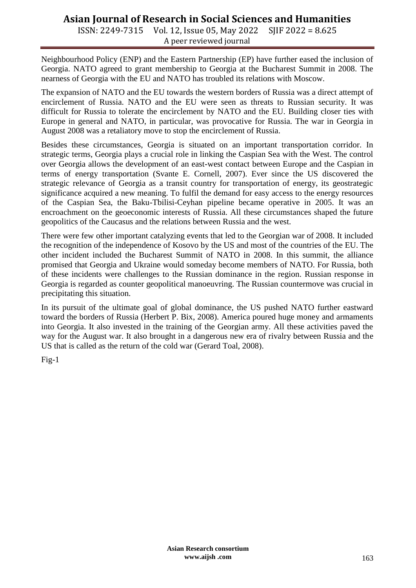ISSN: 2249-7315 Vol. 12, Issue 05, May 2022 SJIF 2022 = 8.625 A peer reviewed journal

Neighbourhood Policy (ENP) and the Eastern Partnership (EP) have further eased the inclusion of Georgia. NATO agreed to grant membership to Georgia at the Bucharest Summit in 2008. The nearness of Georgia with the EU and NATO has troubled its relations with Moscow.

The expansion of NATO and the EU towards the western borders of Russia was a direct attempt of encirclement of Russia. NATO and the EU were seen as threats to Russian security. It was difficult for Russia to tolerate the encirclement by NATO and the EU. Building closer ties with Europe in general and NATO, in particular, was provocative for Russia. The war in Georgia in August 2008 was a retaliatory move to stop the encirclement of Russia.

Besides these circumstances, Georgia is situated on an important transportation corridor. In strategic terms, Georgia plays a crucial role in linking the Caspian Sea with the West. The control over Georgia allows the development of an east-west contact between Europe and the Caspian in terms of energy transportation (Svante E. Cornell, 2007). Ever since the US discovered the strategic relevance of Georgia as a transit country for transportation of energy, its geostrategic significance acquired a new meaning. To fulfil the demand for easy access to the energy resources of the Caspian Sea, the Baku-Tbilisi-Ceyhan pipeline became operative in 2005. It was an encroachment on the geoeconomic interests of Russia. All these circumstances shaped the future geopolitics of the Caucasus and the relations between Russia and the west.

There were few other important catalyzing events that led to the Georgian war of 2008. It included the recognition of the independence of Kosovo by the US and most of the countries of the EU. The other incident included the Bucharest Summit of NATO in 2008. In this summit, the alliance promised that Georgia and Ukraine would someday become members of NATO. For Russia, both of these incidents were challenges to the Russian dominance in the region. Russian response in Georgia is regarded as counter geopolitical manoeuvring. The Russian countermove was crucial in precipitating this situation.

In its pursuit of the ultimate goal of global dominance, the US pushed NATO further eastward toward the borders of Russia (Herbert P. Bix, 2008). America poured huge money and armaments into Georgia. It also invested in the training of the Georgian army. All these activities paved the way for the August war. It also brought in a dangerous new era of rivalry between Russia and the US that is called as the return of the cold war (Gerard Toal, 2008).

Fig-1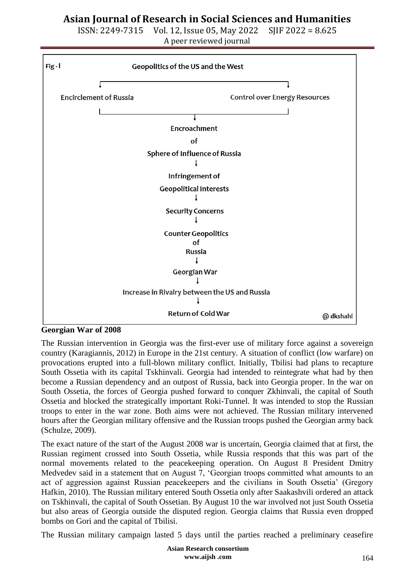ISSN: 2249-7315 Vol. 12, Issue 05, May 2022 SJIF 2022 = 8.625 A peer reviewed journal



**Georgian War of 2008**

The Russian intervention in Georgia was the first-ever use of military force against a sovereign country (Karagiannis, 2012) in Europe in the 21st century. A situation of conflict (low warfare) on provocations erupted into a full-blown military conflict. Initially, Tbilisi had plans to recapture South Ossetia with its capital Tskhinvali. Georgia had intended to reintegrate what had by then become a Russian dependency and an outpost of Russia, back into Georgia proper. In the war on South Ossetia, the forces of Georgia pushed forward to conquer Zkhinvali, the capital of South Ossetia and blocked the strategically important Roki-Tunnel. It was intended to stop the Russian troops to enter in the war zone. Both aims were not achieved. The Russian military intervened hours after the Georgian military offensive and the Russian troops pushed the Georgian army back (Schulze, 2009).

The exact nature of the start of the August 2008 war is uncertain, Georgia claimed that at first, the Russian regiment crossed into South Ossetia, while Russia responds that this was part of the normal movements related to the peacekeeping operation. On August 8 President Dmitry Medvedev said in a statement that on August 7, 'Georgian troops committed what amounts to an act of aggression against Russian peacekeepers and the civilians in South Ossetia' (Gregory Hafkin, 2010). The Russian military entered South Ossetia only after Saakashvili ordered an attack on Tskhinvali, the capital of South Ossetian. By August 10 the war involved not just South Ossetia but also areas of Georgia outside the disputed region. Georgia claims that Russia even dropped bombs on Gori and the capital of Tbilisi.

The Russian military campaign lasted 5 days until the parties reached a preliminary ceasefire

**Asian Research consortium www.aijsh .com**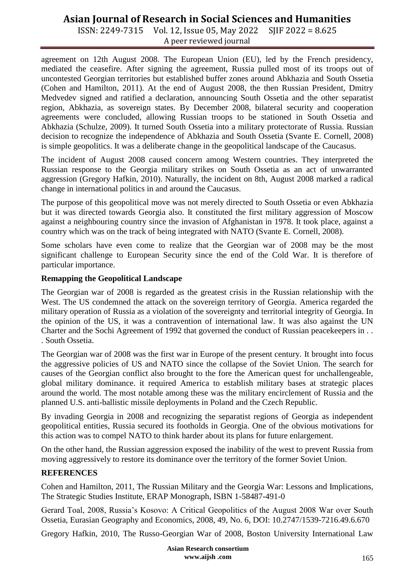ISSN: 2249-7315 Vol. 12, Issue 05, May 2022 SJIF 2022 = 8.625 A peer reviewed journal

agreement on 12th August 2008. The European Union (EU), led by the French presidency, mediated the ceasefire. After signing the agreement, Russia pulled most of its troops out of uncontested Georgian territories but established buffer zones around Abkhazia and South Ossetia (Cohen and Hamilton, 2011). At the end of August 2008, the then Russian President, Dmitry Medvedev signed and ratified a declaration, announcing South Ossetia and the other separatist region, Abkhazia, as sovereign states. By December 2008, bilateral security and cooperation agreements were concluded, allowing Russian troops to be stationed in South Ossetia and Abkhazia (Schulze, 2009). It turned South Ossetia into a military protectorate of Russia. Russian decision to recognize the independence of Abkhazia and South Ossetia (Svante E. Cornell, 2008) is simple geopolitics. It was a deliberate change in the geopolitical landscape of the Caucasus.

The incident of August 2008 caused concern among Western countries. They interpreted the Russian response to the Georgia military strikes on South Ossetia as an act of unwarranted aggression (Gregory Hafkin, 2010). Naturally, the incident on 8th, August 2008 marked a radical change in international politics in and around the Caucasus.

The purpose of this geopolitical move was not merely directed to South Ossetia or even Abkhazia but it was directed towards Georgia also. It constituted the first military aggression of Moscow against a neighbouring country since the invasion of Afghanistan in 1978. It took place, against a country which was on the track of being integrated with NATO (Svante E. Cornell, 2008).

Some scholars have even come to realize that the Georgian war of 2008 may be the most significant challenge to European Security since the end of the Cold War. It is therefore of particular importance.

#### **Remapping the Geopolitical Landscape**

The Georgian war of 2008 is regarded as the greatest crisis in the Russian relationship with the West. The US condemned the attack on the sovereign territory of Georgia. America regarded the military operation of Russia as a violation of the sovereignty and territorial integrity of Georgia. In the opinion of the US, it was a contravention of international law. It was also against the UN Charter and the Sochi Agreement of 1992 that governed the conduct of Russian peacekeepers in . . . South Ossetia.

The Georgian war of 2008 was the first war in Europe of the present century. It brought into focus the aggressive policies of US and NATO since the collapse of the Soviet Union. The search for causes of the Georgian conflict also brought to the fore the American quest for unchallengeable, global military dominance. it required America to establish military bases at strategic places around the world. The most notable among these was the military encirclement of Russia and the planned U.S. anti-ballistic missile deployments in Poland and the Czech Republic.

By invading Georgia in 2008 and recognizing the separatist regions of Georgia as independent geopolitical entities, Russia secured its footholds in Georgia. One of the obvious motivations for this action was to compel NATO to think harder about its plans for future enlargement.

On the other hand, the Russian aggression exposed the inability of the west to prevent Russia from moving aggressively to restore its dominance over the territory of the former Soviet Union.

### **REFERENCES**

Cohen and Hamilton, 2011, The Russian Military and the Georgia War: Lessons and Implications, The Strategic Studies Institute, ERAP Monograph, ISBN 1-58487-491-0

Gerard Toal, 2008, Russia's Kosovo: A Critical Geopolitics of the August 2008 War over South Ossetia, Eurasian Geography and Economics, 2008, 49, No. 6, DOI: 10.2747/1539-7216.49.6.670

Gregory Hafkin, 2010, The Russo-Georgian War of 2008, Boston University International Law